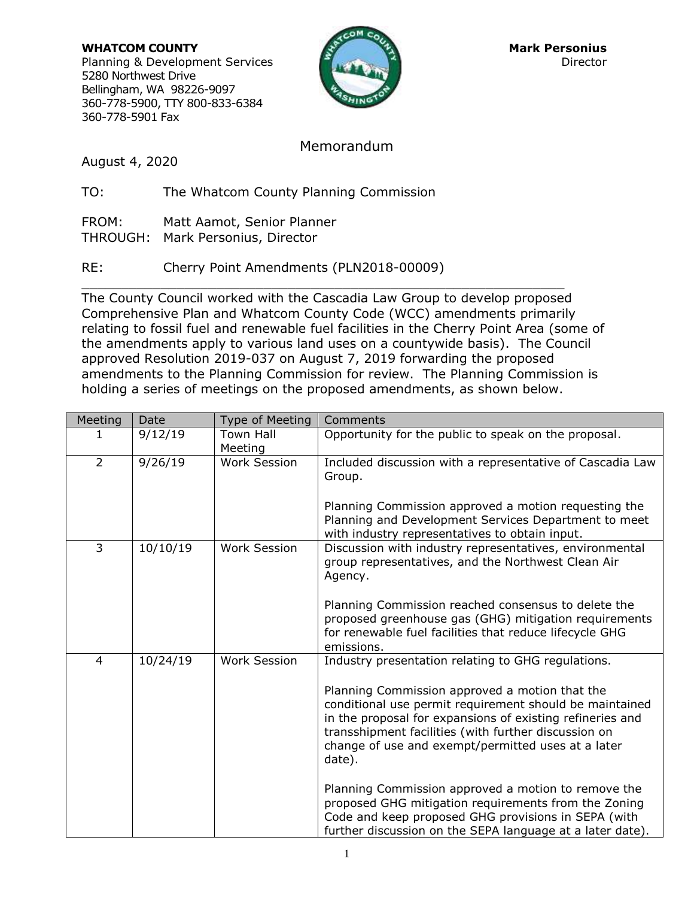**WHATCOM COUNTY Mark Personius Mark Personius** Planning & Development Services Director Director 5280 Northwest Drive Bellingham, WA 98226-9097 360-778-5900, TTY 800-833-6384 360-778-5901 Fax



Memorandum

August 4, 2020

TO: The Whatcom County Planning Commission

| FROM: | Matt Aamot, Senior Planner        |
|-------|-----------------------------------|
|       | THROUGH: Mark Personius, Director |

RE: Cherry Point Amendments (PLN2018-00009)

\_\_\_\_\_\_\_\_\_\_\_\_\_\_\_\_\_\_\_\_\_\_\_\_\_\_\_\_\_\_\_\_\_\_\_\_\_\_\_\_\_\_\_\_\_\_\_\_\_\_\_\_\_\_\_\_\_\_\_\_\_ The County Council worked with the Cascadia Law Group to develop proposed Comprehensive Plan and Whatcom County Code (WCC) amendments primarily relating to fossil fuel and renewable fuel facilities in the Cherry Point Area (some of the amendments apply to various land uses on a countywide basis). The Council approved Resolution 2019-037 on August 7, 2019 forwarding the proposed amendments to the Planning Commission for review. The Planning Commission is holding a series of meetings on the proposed amendments, as shown below.

| Meeting        | Date     | Type of Meeting             | Comments                                                                                                                                                                                                                                                                                       |
|----------------|----------|-----------------------------|------------------------------------------------------------------------------------------------------------------------------------------------------------------------------------------------------------------------------------------------------------------------------------------------|
| 1.             | 9/12/19  | <b>Town Hall</b><br>Meeting | Opportunity for the public to speak on the proposal.                                                                                                                                                                                                                                           |
| $\overline{2}$ | 9/26/19  | <b>Work Session</b>         | Included discussion with a representative of Cascadia Law<br>Group.                                                                                                                                                                                                                            |
|                |          |                             | Planning Commission approved a motion requesting the<br>Planning and Development Services Department to meet<br>with industry representatives to obtain input.                                                                                                                                 |
| 3              | 10/10/19 | <b>Work Session</b>         | Discussion with industry representatives, environmental<br>group representatives, and the Northwest Clean Air<br>Agency.                                                                                                                                                                       |
|                |          |                             | Planning Commission reached consensus to delete the<br>proposed greenhouse gas (GHG) mitigation requirements<br>for renewable fuel facilities that reduce lifecycle GHG<br>emissions.                                                                                                          |
| 4              | 10/24/19 | <b>Work Session</b>         | Industry presentation relating to GHG regulations.                                                                                                                                                                                                                                             |
|                |          |                             | Planning Commission approved a motion that the<br>conditional use permit requirement should be maintained<br>in the proposal for expansions of existing refineries and<br>transshipment facilities (with further discussion on<br>change of use and exempt/permitted uses at a later<br>date). |
|                |          |                             | Planning Commission approved a motion to remove the<br>proposed GHG mitigation requirements from the Zoning<br>Code and keep proposed GHG provisions in SEPA (with<br>further discussion on the SEPA language at a later date).                                                                |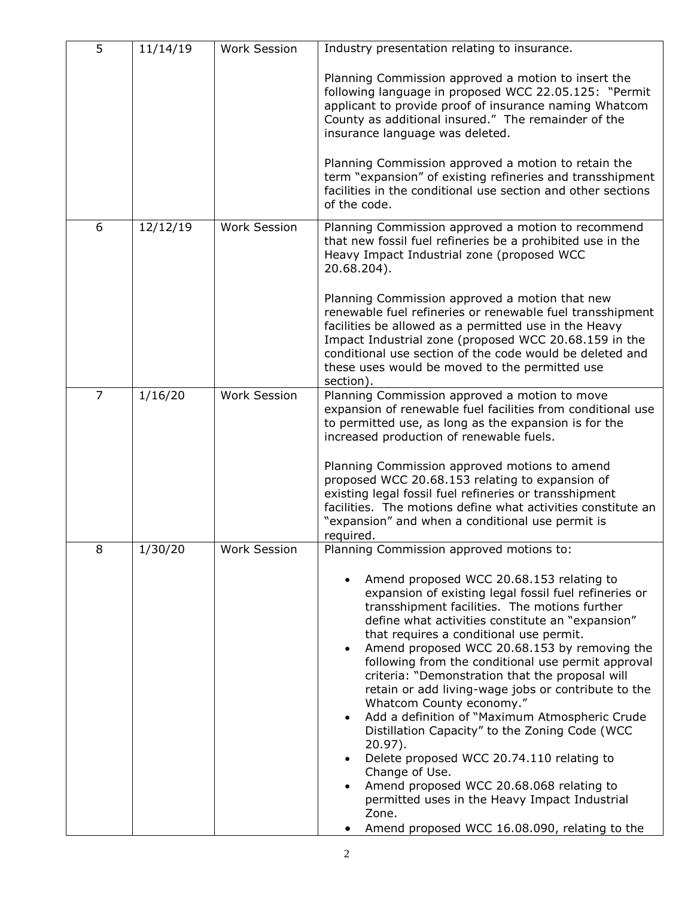| 5              | 11/14/19 | <b>Work Session</b> | Industry presentation relating to insurance.                                                                                                                                                                                                                                                                                                                                                                                                                                                                                                                                                                                                                                                                                                                                                                                                                                                   |
|----------------|----------|---------------------|------------------------------------------------------------------------------------------------------------------------------------------------------------------------------------------------------------------------------------------------------------------------------------------------------------------------------------------------------------------------------------------------------------------------------------------------------------------------------------------------------------------------------------------------------------------------------------------------------------------------------------------------------------------------------------------------------------------------------------------------------------------------------------------------------------------------------------------------------------------------------------------------|
|                |          |                     | Planning Commission approved a motion to insert the<br>following language in proposed WCC 22.05.125: "Permit<br>applicant to provide proof of insurance naming Whatcom<br>County as additional insured." The remainder of the<br>insurance language was deleted.<br>Planning Commission approved a motion to retain the<br>term "expansion" of existing refineries and transshipment<br>facilities in the conditional use section and other sections<br>of the code.                                                                                                                                                                                                                                                                                                                                                                                                                           |
| 6              | 12/12/19 | <b>Work Session</b> | Planning Commission approved a motion to recommend<br>that new fossil fuel refineries be a prohibited use in the<br>Heavy Impact Industrial zone (proposed WCC<br>20.68.204).<br>Planning Commission approved a motion that new<br>renewable fuel refineries or renewable fuel transshipment<br>facilities be allowed as a permitted use in the Heavy<br>Impact Industrial zone (proposed WCC 20.68.159 in the<br>conditional use section of the code would be deleted and<br>these uses would be moved to the permitted use<br>section).                                                                                                                                                                                                                                                                                                                                                      |
| $\overline{7}$ | 1/16/20  | <b>Work Session</b> | Planning Commission approved a motion to move<br>expansion of renewable fuel facilities from conditional use<br>to permitted use, as long as the expansion is for the<br>increased production of renewable fuels.<br>Planning Commission approved motions to amend<br>proposed WCC 20.68.153 relating to expansion of<br>existing legal fossil fuel refineries or transshipment<br>facilities. The motions define what activities constitute an<br>"expansion" and when a conditional use permit is<br>required.                                                                                                                                                                                                                                                                                                                                                                               |
| 8              | 1/30/20  | <b>Work Session</b> | Planning Commission approved motions to:<br>Amend proposed WCC 20.68.153 relating to<br>expansion of existing legal fossil fuel refineries or<br>transshipment facilities. The motions further<br>define what activities constitute an "expansion"<br>that requires a conditional use permit.<br>Amend proposed WCC 20.68.153 by removing the<br>following from the conditional use permit approval<br>criteria: "Demonstration that the proposal will<br>retain or add living-wage jobs or contribute to the<br>Whatcom County economy."<br>Add a definition of "Maximum Atmospheric Crude<br>$\bullet$<br>Distillation Capacity" to the Zoning Code (WCC<br>$20.97$ ).<br>Delete proposed WCC 20.74.110 relating to<br>Change of Use.<br>Amend proposed WCC 20.68.068 relating to<br>permitted uses in the Heavy Impact Industrial<br>Zone.<br>Amend proposed WCC 16.08.090, relating to the |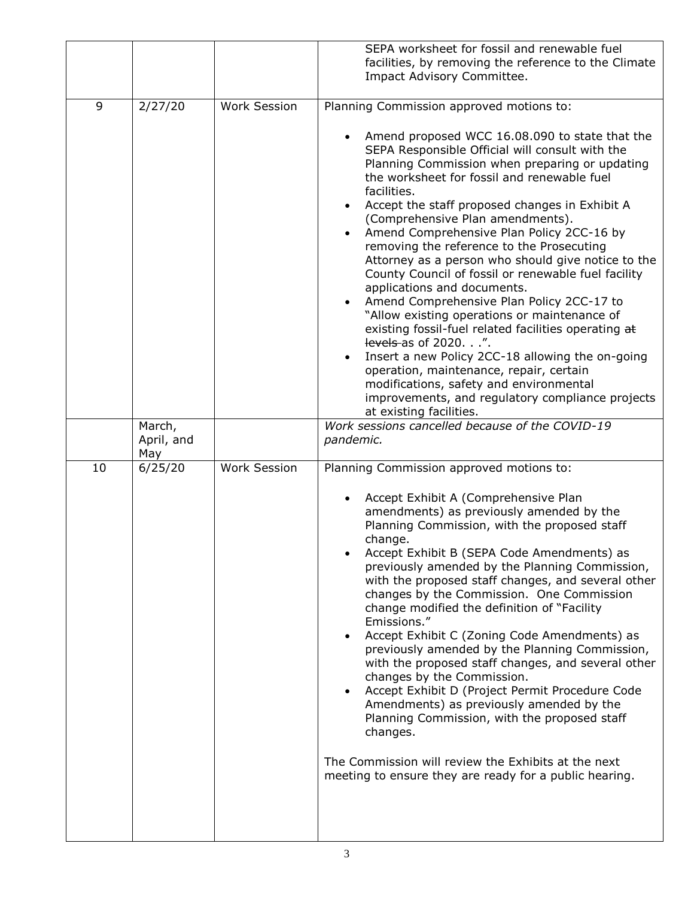|    |                      |                     | SEPA worksheet for fossil and renewable fuel<br>facilities, by removing the reference to the Climate                                                                                                                                                                                                                                                                                                                                                                                                                                                                                                                                                                                                                                                                                                                                                                                                                                                                                                                                                                       |
|----|----------------------|---------------------|----------------------------------------------------------------------------------------------------------------------------------------------------------------------------------------------------------------------------------------------------------------------------------------------------------------------------------------------------------------------------------------------------------------------------------------------------------------------------------------------------------------------------------------------------------------------------------------------------------------------------------------------------------------------------------------------------------------------------------------------------------------------------------------------------------------------------------------------------------------------------------------------------------------------------------------------------------------------------------------------------------------------------------------------------------------------------|
|    |                      |                     | Impact Advisory Committee.                                                                                                                                                                                                                                                                                                                                                                                                                                                                                                                                                                                                                                                                                                                                                                                                                                                                                                                                                                                                                                                 |
| 9  | 2/27/20              | <b>Work Session</b> | Planning Commission approved motions to:                                                                                                                                                                                                                                                                                                                                                                                                                                                                                                                                                                                                                                                                                                                                                                                                                                                                                                                                                                                                                                   |
|    | March,<br>April, and |                     | Amend proposed WCC 16.08.090 to state that the<br>SEPA Responsible Official will consult with the<br>Planning Commission when preparing or updating<br>the worksheet for fossil and renewable fuel<br>facilities.<br>Accept the staff proposed changes in Exhibit A<br>$\bullet$<br>(Comprehensive Plan amendments).<br>Amend Comprehensive Plan Policy 2CC-16 by<br>$\bullet$<br>removing the reference to the Prosecuting<br>Attorney as a person who should give notice to the<br>County Council of fossil or renewable fuel facility<br>applications and documents.<br>Amend Comprehensive Plan Policy 2CC-17 to<br>$\bullet$<br>"Allow existing operations or maintenance of<br>existing fossil-fuel related facilities operating at<br>levels as of $2020.$ ".<br>Insert a new Policy 2CC-18 allowing the on-going<br>$\bullet$<br>operation, maintenance, repair, certain<br>modifications, safety and environmental<br>improvements, and regulatory compliance projects<br>at existing facilities.<br>Work sessions cancelled because of the COVID-19<br>pandemic. |
| 10 | May<br>6/25/20       | <b>Work Session</b> | Planning Commission approved motions to:                                                                                                                                                                                                                                                                                                                                                                                                                                                                                                                                                                                                                                                                                                                                                                                                                                                                                                                                                                                                                                   |
|    |                      |                     | Accept Exhibit A (Comprehensive Plan<br>$\bullet$<br>amendments) as previously amended by the<br>Planning Commission, with the proposed staff<br>change.<br>Accept Exhibit B (SEPA Code Amendments) as<br>previously amended by the Planning Commission,<br>with the proposed staff changes, and several other<br>changes by the Commission. One Commission<br>change modified the definition of "Facility"<br>Emissions."<br>Accept Exhibit C (Zoning Code Amendments) as<br>$\bullet$<br>previously amended by the Planning Commission,<br>with the proposed staff changes, and several other<br>changes by the Commission.<br>Accept Exhibit D (Project Permit Procedure Code<br>$\bullet$<br>Amendments) as previously amended by the<br>Planning Commission, with the proposed staff<br>changes.<br>The Commission will review the Exhibits at the next<br>meeting to ensure they are ready for a public hearing.                                                                                                                                                     |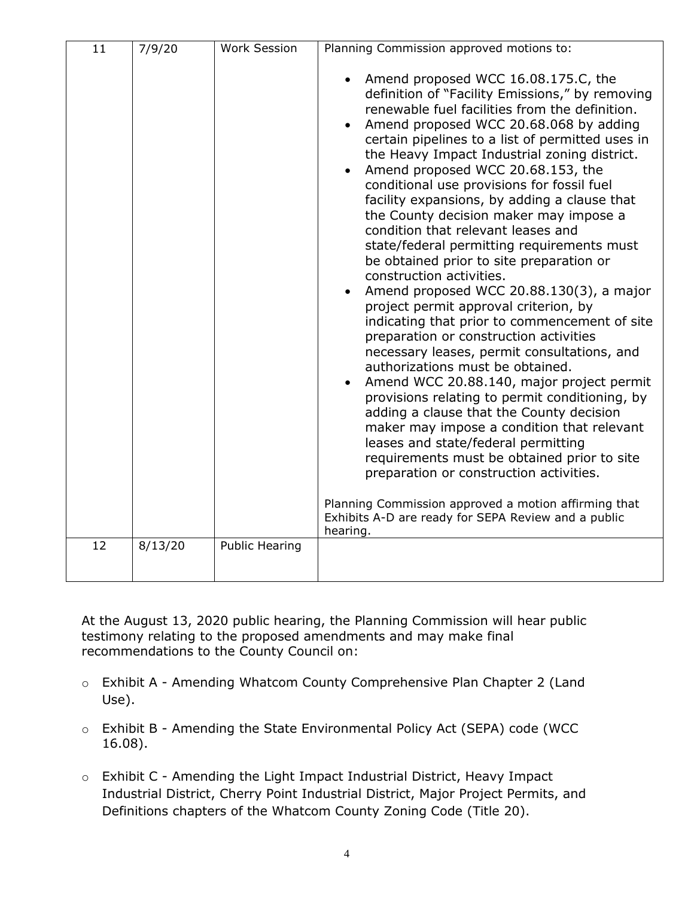| 11 | 7/9/20  | <b>Work Session</b>   | Planning Commission approved motions to:                                                                                                                                                                                                                                                                                                                                                                                                                                                                                                                                                                                                                                                                                                                                                                                                                                                                                                                                                                                                                                                                                                                                                                                                                                                                                                                |
|----|---------|-----------------------|---------------------------------------------------------------------------------------------------------------------------------------------------------------------------------------------------------------------------------------------------------------------------------------------------------------------------------------------------------------------------------------------------------------------------------------------------------------------------------------------------------------------------------------------------------------------------------------------------------------------------------------------------------------------------------------------------------------------------------------------------------------------------------------------------------------------------------------------------------------------------------------------------------------------------------------------------------------------------------------------------------------------------------------------------------------------------------------------------------------------------------------------------------------------------------------------------------------------------------------------------------------------------------------------------------------------------------------------------------|
|    |         |                       | Amend proposed WCC 16.08.175.C, the<br>definition of "Facility Emissions," by removing<br>renewable fuel facilities from the definition.<br>Amend proposed WCC 20.68.068 by adding<br>certain pipelines to a list of permitted uses in<br>the Heavy Impact Industrial zoning district.<br>Amend proposed WCC 20.68.153, the<br>conditional use provisions for fossil fuel<br>facility expansions, by adding a clause that<br>the County decision maker may impose a<br>condition that relevant leases and<br>state/federal permitting requirements must<br>be obtained prior to site preparation or<br>construction activities.<br>Amend proposed WCC 20.88.130(3), a major<br>project permit approval criterion, by<br>indicating that prior to commencement of site<br>preparation or construction activities<br>necessary leases, permit consultations, and<br>authorizations must be obtained.<br>Amend WCC 20.88.140, major project permit<br>provisions relating to permit conditioning, by<br>adding a clause that the County decision<br>maker may impose a condition that relevant<br>leases and state/federal permitting<br>requirements must be obtained prior to site<br>preparation or construction activities.<br>Planning Commission approved a motion affirming that<br>Exhibits A-D are ready for SEPA Review and a public<br>hearing. |
| 12 | 8/13/20 | <b>Public Hearing</b> |                                                                                                                                                                                                                                                                                                                                                                                                                                                                                                                                                                                                                                                                                                                                                                                                                                                                                                                                                                                                                                                                                                                                                                                                                                                                                                                                                         |

At the August 13, 2020 public hearing, the Planning Commission will hear public testimony relating to the proposed amendments and may make final recommendations to the County Council on:

- o Exhibit A Amending Whatcom County Comprehensive Plan Chapter 2 (Land Use).
- o Exhibit B Amending the State Environmental Policy Act (SEPA) code (WCC 16.08).
- o Exhibit C Amending the Light Impact Industrial District, Heavy Impact Industrial District, Cherry Point Industrial District, Major Project Permits, and Definitions chapters of the Whatcom County Zoning Code (Title 20).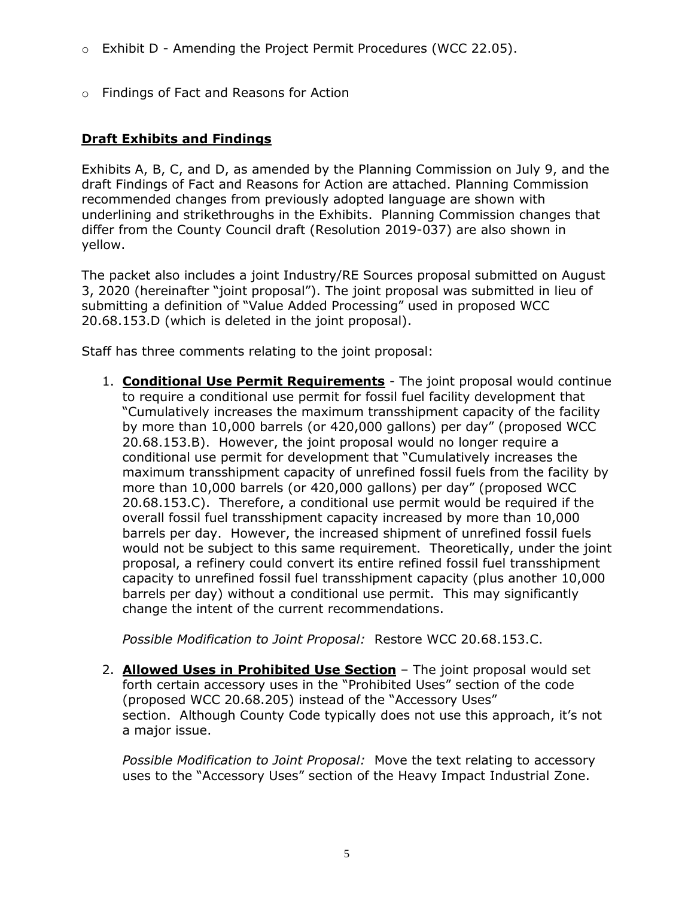- o Exhibit D Amending the Project Permit Procedures (WCC 22.05).
- o Findings of Fact and Reasons for Action

## **Draft Exhibits and Findings**

Exhibits A, B, C, and D, as amended by the Planning Commission on July 9, and the draft Findings of Fact and Reasons for Action are attached. Planning Commission recommended changes from previously adopted language are shown with underlining and strikethroughs in the Exhibits. Planning Commission changes that differ from the County Council draft (Resolution 2019-037) are also shown in yellow.

The packet also includes a joint Industry/RE Sources proposal submitted on August 3, 2020 (hereinafter "joint proposal"). The joint proposal was submitted in lieu of submitting a definition of "Value Added Processing" used in proposed WCC 20.68.153.D (which is deleted in the joint proposal).

Staff has three comments relating to the joint proposal:

1. **Conditional Use Permit Requirements** - The joint proposal would continue to require a conditional use permit for fossil fuel facility development that "Cumulatively increases the maximum transshipment capacity of the facility by more than 10,000 barrels (or 420,000 gallons) per day" (proposed WCC 20.68.153.B). However, the joint proposal would no longer require a conditional use permit for development that "Cumulatively increases the maximum transshipment capacity of unrefined fossil fuels from the facility by more than 10,000 barrels (or 420,000 gallons) per day" (proposed WCC 20.68.153.C). Therefore, a conditional use permit would be required if the overall fossil fuel transshipment capacity increased by more than 10,000 barrels per day. However, the increased shipment of unrefined fossil fuels would not be subject to this same requirement. Theoretically, under the joint proposal, a refinery could convert its entire refined fossil fuel transshipment capacity to unrefined fossil fuel transshipment capacity (plus another 10,000 barrels per day) without a conditional use permit. This may significantly change the intent of the current recommendations.

*Possible Modification to Joint Proposal:* Restore WCC 20.68.153.C.

2. **Allowed Uses in Prohibited Use Section** – The joint proposal would set forth certain accessory uses in the "Prohibited Uses" section of the code (proposed WCC 20.68.205) instead of the "Accessory Uses" section. Although County Code typically does not use this approach, it's not a major issue.

*Possible Modification to Joint Proposal:* Move the text relating to accessory uses to the "Accessory Uses" section of the Heavy Impact Industrial Zone.